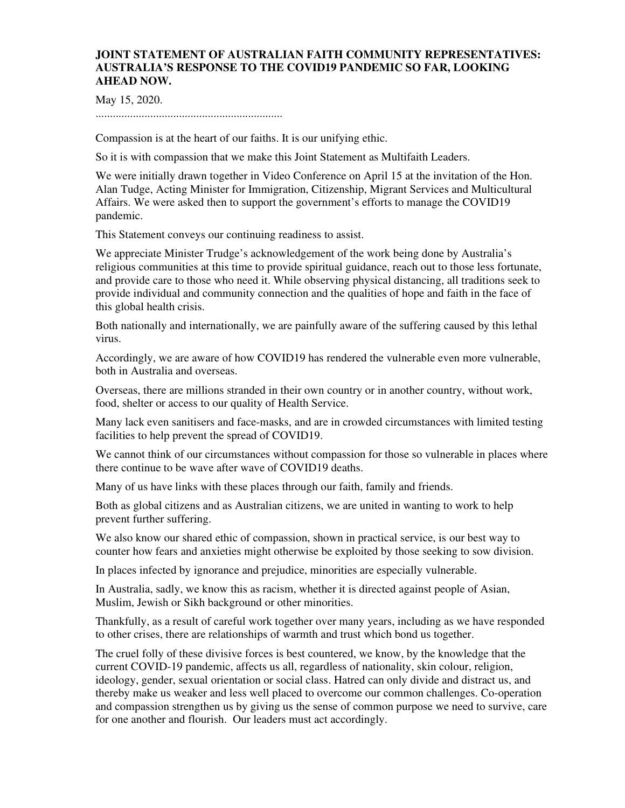## **JOINT STATEMENT OF AUSTRALIAN FAITH COMMUNITY REPRESENTATIVES: AUSTRALIA'S RESPONSE TO THE COVID19 PANDEMIC SO FAR, LOOKING AHEAD NOW.**

May 15, 2020.

.................................................................

Compassion is at the heart of our faiths. It is our unifying ethic.

So it is with compassion that we make this Joint Statement as Multifaith Leaders.

We were initially drawn together in Video Conference on April 15 at the invitation of the Hon. Alan Tudge, Acting Minister for Immigration, Citizenship, Migrant Services and Multicultural Affairs. We were asked then to support the government's efforts to manage the COVID19 pandemic.

This Statement conveys our continuing readiness to assist.

We appreciate Minister Trudge's acknowledgement of the work being done by Australia's religious communities at this time to provide spiritual guidance, reach out to those less fortunate, and provide care to those who need it. While observing physical distancing, all traditions seek to provide individual and community connection and the qualities of hope and faith in the face of this global health crisis.

Both nationally and internationally, we are painfully aware of the suffering caused by this lethal virus.

Accordingly, we are aware of how COVID19 has rendered the vulnerable even more vulnerable, both in Australia and overseas.

Overseas, there are millions stranded in their own country or in another country, without work, food, shelter or access to our quality of Health Service.

Many lack even sanitisers and face-masks, and are in crowded circumstances with limited testing facilities to help prevent the spread of COVID19.

We cannot think of our circumstances without compassion for those so vulnerable in places where there continue to be wave after wave of COVID19 deaths.

Many of us have links with these places through our faith, family and friends.

Both as global citizens and as Australian citizens, we are united in wanting to work to help prevent further suffering.

We also know our shared ethic of compassion, shown in practical service, is our best way to counter how fears and anxieties might otherwise be exploited by those seeking to sow division.

In places infected by ignorance and prejudice, minorities are especially vulnerable.

In Australia, sadly, we know this as racism, whether it is directed against people of Asian, Muslim, Jewish or Sikh background or other minorities.

Thankfully, as a result of careful work together over many years, including as we have responded to other crises, there are relationships of warmth and trust which bond us together.

The cruel folly of these divisive forces is best countered, we know, by the knowledge that the current COVID-19 pandemic, affects us all, regardless of nationality, skin colour, religion, ideology, gender, sexual orientation or social class. Hatred can only divide and distract us, and thereby make us weaker and less well placed to overcome our common challenges. Co-operation and compassion strengthen us by giving us the sense of common purpose we need to survive, care for one another and flourish. Our leaders must act accordingly.